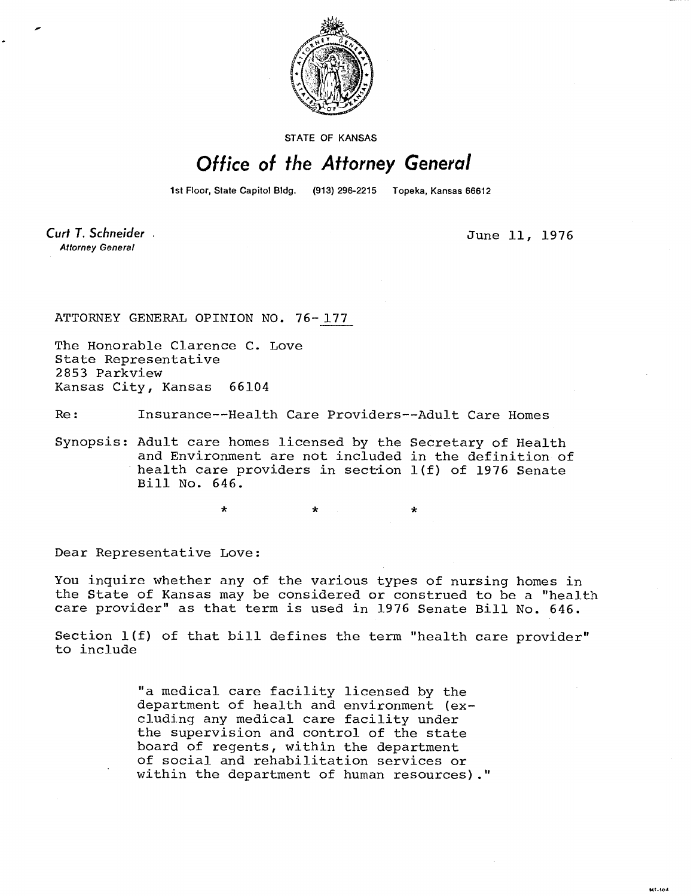

STATE OF KANSAS

## Office of the Attorney General

1st Floor, State Capitol Bldg. (913) 296-2215 Topeka, Kansas 66612

Curt T. Schneider **Attorney General** 

June 11, 1976

 $at\_t<sub>0</sub>$ 

ATTORNEY GENERAL OPINION NO. 76-177

 $\ddot{\textbf{r}}$ 

The Honorable Clarence C. Love State Representative 2853 Parkview Kansas City, Kansas 66104

Re: Insurance--Health Care Providers--Adult Care Homes

Synopsis: Adult care homes licensed by the Secretary of Health and Environment are not included in the definition of health care providers in section 1(f) of 1976 Senate Bill No. 646.

Dear Representative Love:

You inquire whether any of the various types of nursing homes in the State of Kansas may be considered or construed to be a "health care provider" as that term is used in 1976 Senate Bill No. 646.

Section 1(f) of that bill defines the term "health care provider" to include

> "a medical care facility licensed by the department of health and environment (excluding any medical care facility under the supervision and control of the state board of regents, within the department of social and rehabilitation services or within the department of human resources)."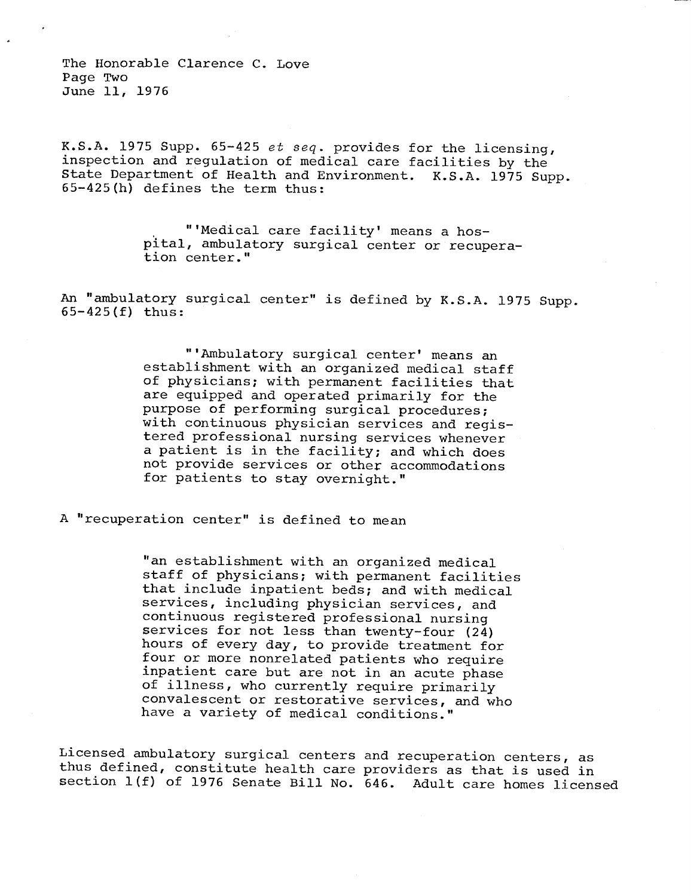The Honorable Clarence C. Love Page Two June 11, 1976

K.S.A. 1975 Supp. 65-425 et seq. provides for the licensing, inspection and regulation of medical care facilities by the State Department of Health and Environment. K.S.A. 1975 Supp. 65-425(h) defines the term thus:

> "'Medical care facility' means a hospital, ambulatory surgical center or recuperation center."

An "ambulatory surgical center" is defined by K.S.A. 1975 Supp. 65-425(f) thus:

> "'Ambulatory surgical center' means an establishment with an organized medical staff of physicians; with permanent facilities that are equipped and operated primarily for the purpose of performing surgical procedures; with continuous physician services and registered professional nursing services whenever a patient is in the facility; and which does not provide services or other accommodations for patients to stay overnight."

A "recuperation center" is defined to mean

"an establishment with an organized medical staff of physicians; with permanent facilities that include inpatient beds; and with medical services, including physician services, and continuous registered professional nursing services for not less than twenty-four (24) hours of every day, to provide treatment for four or more nonrelated patients who require inpatient care but are not in an acute phase of illness, who currently require primarily convalescent or restorative services, and who have a variety of medical conditions.'

Licensed ambulatory surgical centers and recuperation centers, as thus defined, constitute health care providers as that is used in section 1(f) of 1976 Senate Bill No. 646. Adult care homes licensed